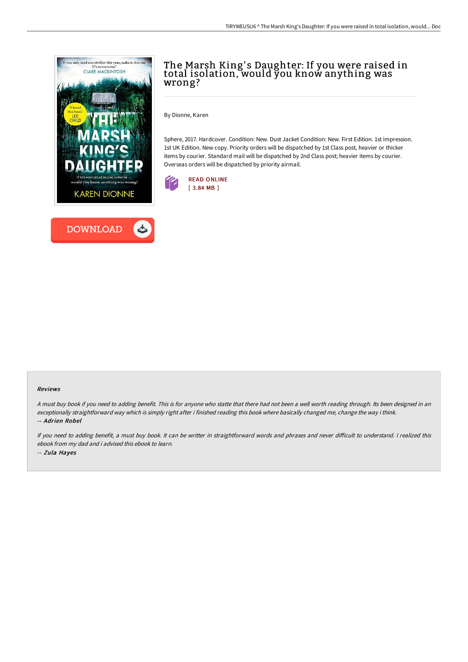

# The Marsh King' s Daughter: If you were raised in total isolation, would you know anything was wrong?

By Dionne, Karen

Sphere, 2017. Hardcover. Condition: New. Dust Jacket Condition: New. First Edition. 1st impression. 1st UK Edition. New copy. Priority orders will be dispatched by 1st Class post, heavier or thicker items by courier. Standard mail will be dispatched by 2nd Class post; heavier items by courier. Overseas orders will be dispatched by priority airmail.



### Reviews

<sup>A</sup> must buy book if you need to adding benefit. This is for anyone who statte that there had not been <sup>a</sup> well worth reading through. Its been designed in an exceptionally straightforward way which is simply right after i finished reading this book where basically changed me, change the way i think. -- Adrien Robel

If you need to adding benefit, a must buy book. It can be writter in straightforward words and phrases and never difficult to understand. I realized this ebook from my dad and i advised this ebook to learn. -- Zula Hayes